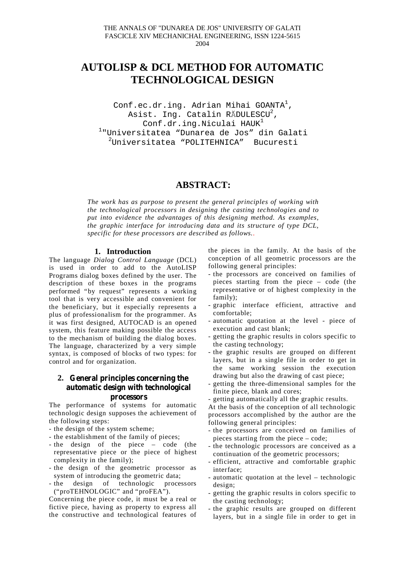# **AUTOLISP & DCL METHOD FOR AUTOMATIC TECHNOLOGICAL DESIGN**

Conf.ec.dr.ing. Adrian Mihai GOANTA<sup>1</sup>, Asist. Ing. Catalin RĂDULESCU $^2$ , Conf.dr.ing.Niculai  $HAWK<sup>1</sup>$ 1 "Universitatea "Dunarea de Jos" din Galati 2 Universitatea "POLITEHNICA" Bucuresti

## **ABSTRACT:**

*The work has as purpose to present the general principles of working with the technological processors in designing the casting technologies and to put into evidence the advantages of this designing method. As examples, the graphic interface for introducing data and its structure of type DCL, specific for these processors are described as follows..*

### **1. Introduction**

The language *Dialog Control Language* (DCL) is used in order to add to the AutoLISP Programs dialog boxes defined by the user. The description of these boxes in the programs performed "by request" represents a working tool that is very accessible and convenient for the beneficiary, but it especially represents a plus of professionalism for the programmer. As it was first designed, AUTOCAD is an opened system, this feature making possible the access to the mechanism of building the dialog boxes. The language, characterized by a very simple syntax, is composed of blocks of two types: for control and for organization.

### **2. General principles concerning the automatic design with technological processors**

The performance of systems for automatic technologic design supposes the achievement of the following steps:

- the design of the system scheme;
- the establishment of the family of pieces;
- the design of the piece code (the representative piece or the piece of highest complexity in the family);
- the design of the geometric processor as system of introducing the geometric data;
- the design of technologic processors ("proTEHNOLOGIC" and "proFEA").

Concerning the piece code, it must be a real or fictive piece, having as property to express all the constructive and technological features of the pieces in the family. At the basis of the conception of all geometric processors are the following general principles:

- the processors are conceived on families of pieces starting from the piece – code (the representative or of highest complexity in the family);
- graphic interface efficient, attractive and comfortable;
- automatic quotation at the level piece of execution and cast blank;
- getting the graphic results in colors specific to the casting technology;
- the graphic results are grouped on different layers, but in a single file in order to get in the same working session the execution drawing but also the drawing of cast piece;
- getting the three-dimensional samples for the finite piece, blank and cores;
- getting automatically all the graphic results.

At the basis of the conception of all technologic processors accomplished by the author are the following general principles:

- the processors are conceived on families of pieces starting from the piece – code;
- the technologic processors are conceived as a continuation of the geometric processors;
- efficient, attractive and comfortable graphic interface;
- automatic quotation at the level technologic design;
- getting the graphic results in colors specific to the casting technology;
- the graphic results are grouped on different layers, but in a single file in order to get in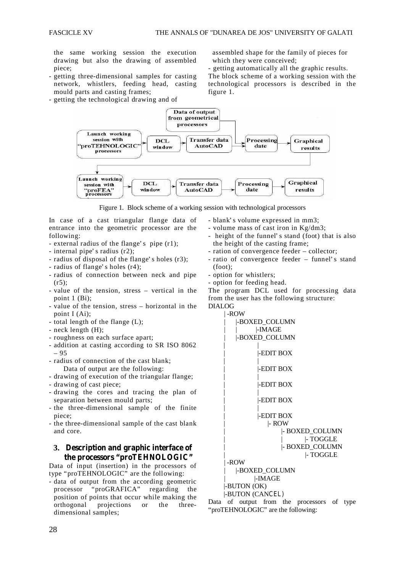the same working session the execution drawing but also the drawing of assembled piece;

- getting three-dimensional samples for casting network, whistlers, feeding head, casting mould parts and casting frames;
- getting the technological drawing and of

 assembled shape for the family of pieces for which they were conceived;

- getting automatically all the graphic results. The block scheme of a working session with the technological processors is described in the figure 1.



Figure 1. Block scheme of a working session with technological processors

In case of a cast triangular flange data of entrance into the geometric processor are the following:

- external radius of the flange' s pipe (r1);
- internal pipe' s radius (r2);
- radius of disposal of the flange' s holes (r3);
- radius of flange' s holes (r4);
- radius of connection between neck and pipe  $(r5)$
- value of the tension, stress vertical in the point 1 (Bi);
- value of the tension, stress horizontal in the point I (Ai);
- total length of the flange (L);
- neck length (H);
- roughness on each surface apart;
- addition at casting according to SR ISO 8062 – 95
- radius of connection of the cast blank; Data of output are the following:
- drawing of execution of the triangular flange;
- drawing of cast piece;
- drawing the cores and tracing the plan of separation between mould parts;
- the three-dimensional sample of the finite piece;
- the three-dimensional sample of the cast blank and core.
	- **3. Description and graphic interface of the processors "proTEHNOLOGIC"**

Data of input (insertion) in the processors of type "proTEHNOLOGIC" are the following:

- data of output from the according geometric processor "proGRAFICA" regarding the position of points that occur while making the orthogonal projections or the threedimensional samples;

- blank' s volume expressed in mm3;
- volume mass of cast iron in Kg/dm3;
- height of the funnel' s stand (foot) that is also the height of the casting frame;
- ration of convergence feeder collector;
- ratio of convergence feeder funnel' s stand (foot);
- option for whistlers;
- option for feeding head.

The program DCL used for processing data from the user has the following structure: DIALOG

> | -ROW | |-BOXED\_COLUMN  $\perp$  **IMAGE**

| تتاب في المس<br>-BOXED COLUMN |
|-------------------------------|
|                               |
| -EDIT BOX                     |
| -EDIT BOX                     |
| -EDIT BOX                     |
| -EDIT BOX                     |
| I-EDIT BOX                    |
| $\mid$ - ROW                  |
| - BOXED_COLUMN                |
| $\mid$ - TOGGLE               |
| - BOXED COLUMN                |
| - TOGGLE                      |
| -ROW                          |
| -BOXED_COLUMN                 |
| -IMAGE                        |
| -BUTON (OK)                   |
| -BUTON (CANCEL)               |

Data of output from the processors of type "proTEHNOLOGIC" are the following: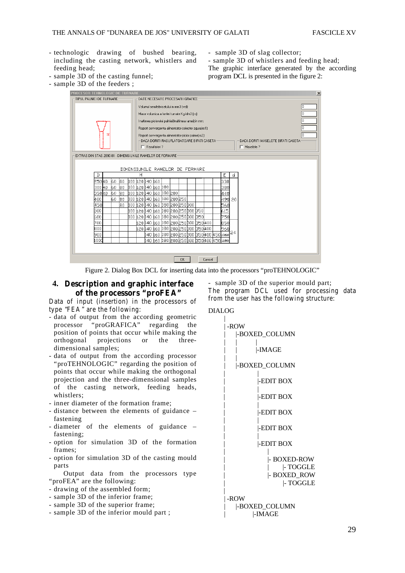- technologic drawing of bushed bearing, including the casting network, whistlers and feeding head;
- sample 3D of the casting funnel;
- sample 3D of slag collector;

- sample 3D of whistlers and feeding head; The graphic interface generated by the according program DCL is presented in the figure 2:

- sample 3D of the feeders ;

|                                                                                                                                            | PROCESOR TEHNOLOGIC DE TURNARE                             |                                                      |                                                     |                                 |                                          |  |                                    |  |  |                                                  |  |  |        |  |                                                       |    | $\vert x \vert$ |
|--------------------------------------------------------------------------------------------------------------------------------------------|------------------------------------------------------------|------------------------------------------------------|-----------------------------------------------------|---------------------------------|------------------------------------------|--|------------------------------------|--|--|--------------------------------------------------|--|--|--------|--|-------------------------------------------------------|----|-----------------|
| TIPUL PALNIEI DE TURNARE<br>DATE NECESARE PROCESARII GRAFICE                                                                               |                                                            |                                                      |                                                     |                                 |                                          |  |                                    |  |  |                                                  |  |  |        |  |                                                       |    |                 |
|                                                                                                                                            |                                                            |                                                      | l0.<br>Volumul semifabricatului in mm3 (vol):       |                                 |                                          |  |                                    |  |  |                                                  |  |  |        |  |                                                       |    |                 |
|                                                                                                                                            |                                                            | In.<br>Masa volumica a fontei turnate Kg/dm3 (ro):   |                                                     |                                 |                                          |  |                                    |  |  |                                                  |  |  |        |  |                                                       |    |                 |
|                                                                                                                                            |                                                            | Inaltimea piciorului palniei[Inaltimea ramei] in mm: |                                                     |                                 |                                          |  |                                    |  |  |                                                  |  |  |        |  |                                                       |    |                 |
|                                                                                                                                            |                                                            |                                                      | Raport convergenta alimentator-colector zqurafrc1): |                                 |                                          |  |                                    |  |  |                                                  |  |  |        |  |                                                       |    |                 |
|                                                                                                                                            |                                                            |                                                      |                                                     |                                 |                                          |  |                                    |  |  |                                                  |  |  |        |  |                                                       |    |                 |
| Raport convergenta alimentator-picior palnie(rc2):<br>- DACA DORITI RASUFLATOATOARE BIFATI CASETA -<br>DACA DORITI MASELOTE BIFATI CASETA- |                                                            |                                                      |                                                     |                                 |                                          |  |                                    |  |  |                                                  |  |  |        |  |                                                       |    |                 |
|                                                                                                                                            |                                                            |                                                      |                                                     |                                 | $\Box$ Maselote ?<br>$\Box$ Rasuflatori? |  |                                    |  |  |                                                  |  |  |        |  |                                                       |    |                 |
|                                                                                                                                            |                                                            |                                                      |                                                     |                                 |                                          |  |                                    |  |  |                                                  |  |  |        |  |                                                       |    |                 |
|                                                                                                                                            | EXTRAS DIN STAS 2890-81 - DIMENSIUNILE RAMELOR DE FORMARE. |                                                      |                                                     |                                 |                                          |  |                                    |  |  |                                                  |  |  |        |  |                                                       |    |                 |
|                                                                                                                                            |                                                            |                                                      |                                                     |                                 |                                          |  |                                    |  |  |                                                  |  |  |        |  |                                                       |    |                 |
|                                                                                                                                            |                                                            |                                                      |                                                     | DIMENSIUNILE RAMELOR DE FORMARE |                                          |  |                                    |  |  |                                                  |  |  |        |  |                                                       |    |                 |
|                                                                                                                                            | D                                                          |                                                      |                                                     |                                 | Н                                        |  |                                    |  |  |                                                  |  |  |        |  | E                                                     | d  |                 |
|                                                                                                                                            | 25040                                                      | 60                                                   | l80                                                 | 100   120   140   160           |                                          |  |                                    |  |  |                                                  |  |  |        |  | 330                                                   |    |                 |
|                                                                                                                                            | 300 40                                                     | 60                                                   | 80                                                  |                                 |                                          |  | 100 և 20 և 40 և 60 և 80            |  |  |                                                  |  |  |        |  | 380                                                   |    |                 |
|                                                                                                                                            | 35040                                                      | 60<br>k٥                                             | l80                                                 |                                 |                                          |  | 100    20    40    60    80    200 |  |  | 100    20    40    60    180    200    250       |  |  |        |  | 440                                                   |    |                 |
|                                                                                                                                            | 400<br>450                                                 |                                                      | lso<br>80                                           | 100                             |                                          |  |                                    |  |  | 120 140 160 180 200 250 300                      |  |  |        |  | 490 20<br>560                                         |    |                 |
|                                                                                                                                            | Б00                                                        |                                                      |                                                     |                                 |                                          |  |                                    |  |  | 100   20   40   60   80   200   250   300   350  |  |  |        |  | 615                                                   |    |                 |
|                                                                                                                                            | 600                                                        |                                                      |                                                     |                                 |                                          |  |                                    |  |  | 100    20    40    60    80    200    201    950 |  |  |        |  | 750                                                   |    |                 |
|                                                                                                                                            | 700                                                        |                                                      |                                                     |                                 |                                          |  |                                    |  |  | :20 140 160 180 200 250 300 550 400              |  |  |        |  | 850                                                   |    |                 |
|                                                                                                                                            | 800                                                        |                                                      |                                                     |                                 |                                          |  |                                    |  |  | 120 140 160 180 200 250 300 350 400              |  |  |        |  | 960                                                   |    |                 |
|                                                                                                                                            | 900                                                        |                                                      |                                                     |                                 |                                          |  |                                    |  |  |                                                  |  |  |        |  |                                                       | 24 |                 |
|                                                                                                                                            | 1000                                                       |                                                      |                                                     |                                 |                                          |  |                                    |  |  |                                                  |  |  |        |  | i4O i6O i8O 20O 25O 3OO 35O 40O 45O <mark>118O</mark> |    |                 |
|                                                                                                                                            |                                                            |                                                      |                                                     |                                 |                                          |  |                                    |  |  |                                                  |  |  |        |  |                                                       |    |                 |
|                                                                                                                                            |                                                            |                                                      |                                                     |                                 |                                          |  |                                    |  |  |                                                  |  |  |        |  |                                                       |    |                 |
|                                                                                                                                            |                                                            |                                                      |                                                     |                                 |                                          |  |                                    |  |  | 0K                                               |  |  | Cancel |  |                                                       |    |                 |

Figure 2. Dialog Box DCL for inserting data into the processors "proTEHNOLOGIC"

**4. Description and graphic interface of the processors "proFEA"**

Data of input (insertion) in the processors of type "FEA " are the following:

- data of output from the according geometric processor "proGRAFICA" regarding the position of points that occur while making the orthogonal projections or the threedimensional samples;
- data of output from the according processor "proTEHNOLOGIC" regarding the position of points that occur while making the orthogonal projection and the three-dimensional samples of the casting network, feeding heads, whistlers;
- inner diameter of the formation frame;
- distance between the elements of guidance fastening
- diameter of the elements of guidance fastening;
- option for simulation 3D of the formation frames;
- option for simulation 3D of the casting mould parts
- Output data from the processors type "proFEA" are the following:
- drawing of the assembled form;
- sample 3D of the inferior frame;
- sample 3D of the superior frame;
- sample 3D of the inferior mould part ;

- sample 3D of the superior mould part; The program DCL used for processing data from the user has the following structure:

#### DIALOG |

| -ROW                                                       |
|------------------------------------------------------------|
| -BOXED_COLUMN                                              |
| -IMAGE                                                     |
| -BOXED_COLUMN                                              |
| -EDIT BOX                                                  |
| -EDIT BOX                                                  |
| <b>EDIT BOX</b>                                            |
| -EDIT BOX                                                  |
| -EDIT BOX                                                  |
| - BOXED-ROW<br>$\mid$ - TOGGLE<br>- BOXED_ROW<br> - TOGGLE |
| -ROW<br>-BOXED_COLUMN<br> -IMAGE                           |